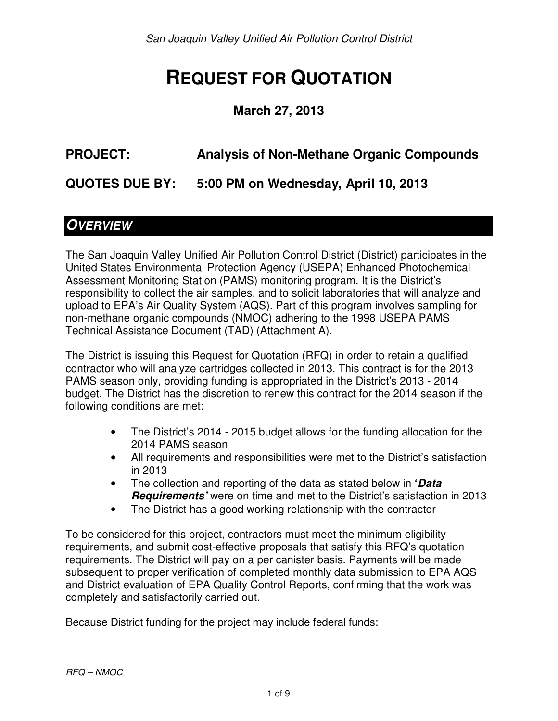# **REQUEST FOR QUOTATION**

### **March 27, 2013**

# **PROJECT: Analysis of Non-Methane Organic Compounds**

**QUOTES DUE BY: 5:00 PM on Wednesday, April 10, 2013** 

## **OVERVIEW**

The San Joaquin Valley Unified Air Pollution Control District (District) participates in the United States Environmental Protection Agency (USEPA) Enhanced Photochemical Assessment Monitoring Station (PAMS) monitoring program. It is the District's responsibility to collect the air samples, and to solicit laboratories that will analyze and upload to EPA's Air Quality System (AQS). Part of this program involves sampling for non-methane organic compounds (NMOC) adhering to the 1998 USEPA PAMS Technical Assistance Document (TAD) (Attachment A).

The District is issuing this Request for Quotation (RFQ) in order to retain a qualified contractor who will analyze cartridges collected in 2013. This contract is for the 2013 PAMS season only, providing funding is appropriated in the District's 2013 - 2014 budget. The District has the discretion to renew this contract for the 2014 season if the following conditions are met:

- The District's 2014 2015 budget allows for the funding allocation for the 2014 PAMS season
- All requirements and responsibilities were met to the District's satisfaction in 2013
- The collection and reporting of the data as stated below in **'Data Requirements'** were on time and met to the District's satisfaction in 2013
- The District has a good working relationship with the contractor

To be considered for this project, contractors must meet the minimum eligibility requirements, and submit cost-effective proposals that satisfy this RFQ's quotation requirements. The District will pay on a per canister basis. Payments will be made subsequent to proper verification of completed monthly data submission to EPA AQS and District evaluation of EPA Quality Control Reports, confirming that the work was completely and satisfactorily carried out.

Because District funding for the project may include federal funds: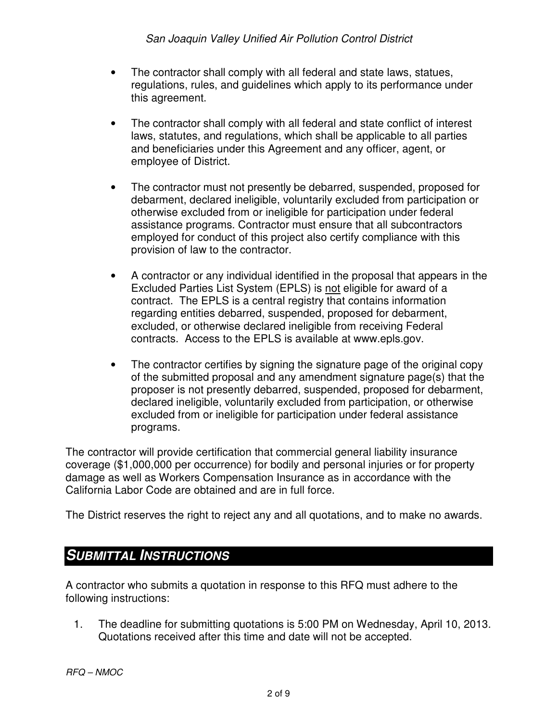- The contractor shall comply with all federal and state laws, statues, regulations, rules, and guidelines which apply to its performance under this agreement.
- The contractor shall comply with all federal and state conflict of interest laws, statutes, and regulations, which shall be applicable to all parties and beneficiaries under this Agreement and any officer, agent, or employee of District.
- The contractor must not presently be debarred, suspended, proposed for debarment, declared ineligible, voluntarily excluded from participation or otherwise excluded from or ineligible for participation under federal assistance programs. Contractor must ensure that all subcontractors employed for conduct of this project also certify compliance with this provision of law to the contractor.
- A contractor or any individual identified in the proposal that appears in the Excluded Parties List System (EPLS) is not eligible for award of a contract. The EPLS is a central registry that contains information regarding entities debarred, suspended, proposed for debarment, excluded, or otherwise declared ineligible from receiving Federal contracts. Access to the EPLS is available at www.epls.gov.
- The contractor certifies by signing the signature page of the original copy of the submitted proposal and any amendment signature page(s) that the proposer is not presently debarred, suspended, proposed for debarment, declared ineligible, voluntarily excluded from participation, or otherwise excluded from or ineligible for participation under federal assistance programs.

The contractor will provide certification that commercial general liability insurance coverage (\$1,000,000 per occurrence) for bodily and personal injuries or for property damage as well as Workers Compensation Insurance as in accordance with the California Labor Code are obtained and are in full force.

The District reserves the right to reject any and all quotations, and to make no awards.

## **SUBMITTAL INSTRUCTIONS**

A contractor who submits a quotation in response to this RFQ must adhere to the following instructions:

1. The deadline for submitting quotations is 5:00 PM on Wednesday, April 10, 2013. Quotations received after this time and date will not be accepted.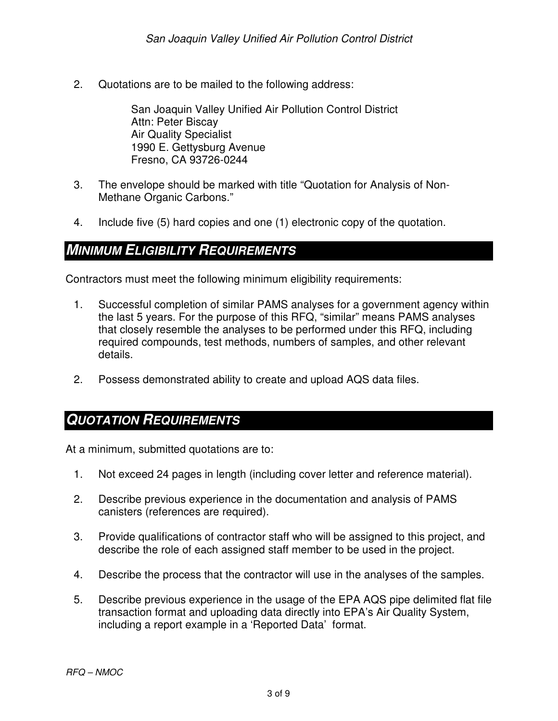2. Quotations are to be mailed to the following address:

San Joaquin Valley Unified Air Pollution Control District Attn: Peter Biscay Air Quality Specialist 1990 E. Gettysburg Avenue Fresno, CA 93726-0244

- 3. The envelope should be marked with title "Quotation for Analysis of Non-Methane Organic Carbons."
- 4. Include five (5) hard copies and one (1) electronic copy of the quotation.

### **MINIMUM ELIGIBILITY REQUIREMENTS**

Contractors must meet the following minimum eligibility requirements:

- 1. Successful completion of similar PAMS analyses for a government agency within the last 5 years. For the purpose of this RFQ, "similar" means PAMS analyses that closely resemble the analyses to be performed under this RFQ, including required compounds, test methods, numbers of samples, and other relevant details.
- 2. Possess demonstrated ability to create and upload AQS data files.

#### **QUOTATION REQUIREMENTS**

At a minimum, submitted quotations are to:

- 1. Not exceed 24 pages in length (including cover letter and reference material).
- 2. Describe previous experience in the documentation and analysis of PAMS canisters (references are required).
- 3. Provide qualifications of contractor staff who will be assigned to this project, and describe the role of each assigned staff member to be used in the project.
- 4. Describe the process that the contractor will use in the analyses of the samples.
- 5. Describe previous experience in the usage of the EPA AQS pipe delimited flat file transaction format and uploading data directly into EPA's Air Quality System, including a report example in a 'Reported Data' format.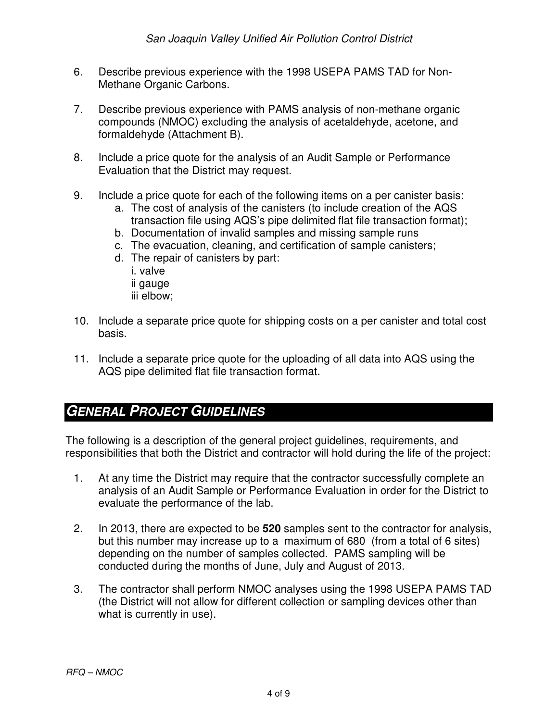- 6. Describe previous experience with the 1998 USEPA PAMS TAD for Non-Methane Organic Carbons.
- 7. Describe previous experience with PAMS analysis of non-methane organic compounds (NMOC) excluding the analysis of acetaldehyde, acetone, and formaldehyde (Attachment B).
- 8. Include a price quote for the analysis of an Audit Sample or Performance Evaluation that the District may request.
- 9. Include a price quote for each of the following items on a per canister basis:
	- a. The cost of analysis of the canisters (to include creation of the AQS transaction file using AQS's pipe delimited flat file transaction format);
	- b. Documentation of invalid samples and missing sample runs
	- c. The evacuation, cleaning, and certification of sample canisters;
	- d. The repair of canisters by part: i. valve ii gauge iii elbow;
- 10. Include a separate price quote for shipping costs on a per canister and total cost basis.
- 11. Include a separate price quote for the uploading of all data into AQS using the AQS pipe delimited flat file transaction format.

## **GENERAL PROJECT GUIDELINES**

The following is a description of the general project guidelines, requirements, and responsibilities that both the District and contractor will hold during the life of the project:

- 1. At any time the District may require that the contractor successfully complete an analysis of an Audit Sample or Performance Evaluation in order for the District to evaluate the performance of the lab.
- 2. In 2013, there are expected to be **520** samples sent to the contractor for analysis, but this number may increase up to a maximum of 680 (from a total of 6 sites) depending on the number of samples collected. PAMS sampling will be conducted during the months of June, July and August of 2013.
- 3. The contractor shall perform NMOC analyses using the 1998 USEPA PAMS TAD (the District will not allow for different collection or sampling devices other than what is currently in use).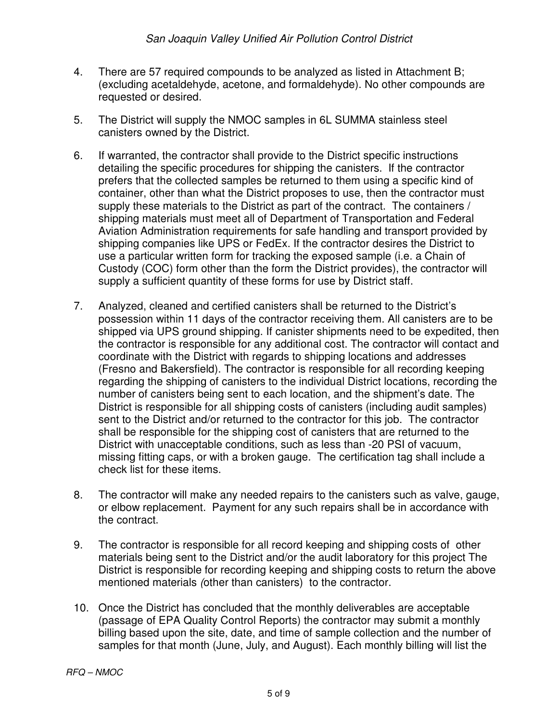- 4. There are 57 required compounds to be analyzed as listed in Attachment B; (excluding acetaldehyde, acetone, and formaldehyde). No other compounds are requested or desired.
- 5. The District will supply the NMOC samples in 6L SUMMA stainless steel canisters owned by the District.
- 6. If warranted, the contractor shall provide to the District specific instructions detailing the specific procedures for shipping the canisters. If the contractor prefers that the collected samples be returned to them using a specific kind of container, other than what the District proposes to use, then the contractor must supply these materials to the District as part of the contract. The containers / shipping materials must meet all of Department of Transportation and Federal Aviation Administration requirements for safe handling and transport provided by shipping companies like UPS or FedEx. If the contractor desires the District to use a particular written form for tracking the exposed sample (i.e. a Chain of Custody (COC) form other than the form the District provides), the contractor will supply a sufficient quantity of these forms for use by District staff.
- 7. Analyzed, cleaned and certified canisters shall be returned to the District's possession within 11 days of the contractor receiving them. All canisters are to be shipped via UPS ground shipping. If canister shipments need to be expedited, then the contractor is responsible for any additional cost. The contractor will contact and coordinate with the District with regards to shipping locations and addresses (Fresno and Bakersfield). The contractor is responsible for all recording keeping regarding the shipping of canisters to the individual District locations, recording the number of canisters being sent to each location, and the shipment's date. The District is responsible for all shipping costs of canisters (including audit samples) sent to the District and/or returned to the contractor for this job. The contractor shall be responsible for the shipping cost of canisters that are returned to the District with unacceptable conditions, such as less than -20 PSI of vacuum, missing fitting caps, or with a broken gauge. The certification tag shall include a check list for these items.
- 8. The contractor will make any needed repairs to the canisters such as valve, gauge, or elbow replacement. Payment for any such repairs shall be in accordance with the contract.
- 9. The contractor is responsible for all record keeping and shipping costs of other materials being sent to the District and/or the audit laboratory for this project The District is responsible for recording keeping and shipping costs to return the above mentioned materials (other than canisters) to the contractor.
- 10. Once the District has concluded that the monthly deliverables are acceptable (passage of EPA Quality Control Reports) the contractor may submit a monthly billing based upon the site, date, and time of sample collection and the number of samples for that month (June, July, and August). Each monthly billing will list the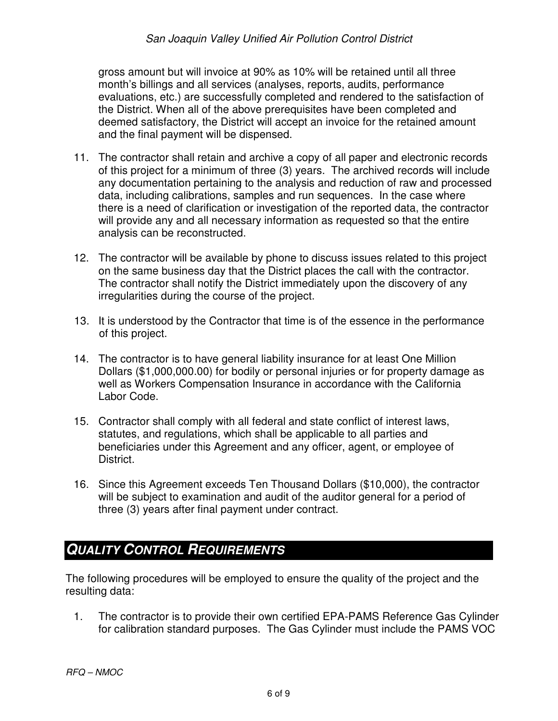gross amount but will invoice at 90% as 10% will be retained until all three month's billings and all services (analyses, reports, audits, performance evaluations, etc.) are successfully completed and rendered to the satisfaction of the District. When all of the above prerequisites have been completed and deemed satisfactory, the District will accept an invoice for the retained amount and the final payment will be dispensed.

- 11. The contractor shall retain and archive a copy of all paper and electronic records of this project for a minimum of three (3) years. The archived records will include any documentation pertaining to the analysis and reduction of raw and processed data, including calibrations, samples and run sequences. In the case where there is a need of clarification or investigation of the reported data, the contractor will provide any and all necessary information as requested so that the entire analysis can be reconstructed.
- 12. The contractor will be available by phone to discuss issues related to this project on the same business day that the District places the call with the contractor. The contractor shall notify the District immediately upon the discovery of any irregularities during the course of the project.
- 13. It is understood by the Contractor that time is of the essence in the performance of this project.
- 14. The contractor is to have general liability insurance for at least One Million Dollars (\$1,000,000.00) for bodily or personal injuries or for property damage as well as Workers Compensation Insurance in accordance with the California Labor Code.
- 15. Contractor shall comply with all federal and state conflict of interest laws, statutes, and regulations, which shall be applicable to all parties and beneficiaries under this Agreement and any officer, agent, or employee of District.
- 16. Since this Agreement exceeds Ten Thousand Dollars (\$10,000), the contractor will be subject to examination and audit of the auditor general for a period of three (3) years after final payment under contract.

# **QUALITY CONTROL REQUIREMENTS**

The following procedures will be employed to ensure the quality of the project and the resulting data:

1. The contractor is to provide their own certified EPA-PAMS Reference Gas Cylinder for calibration standard purposes. The Gas Cylinder must include the PAMS VOC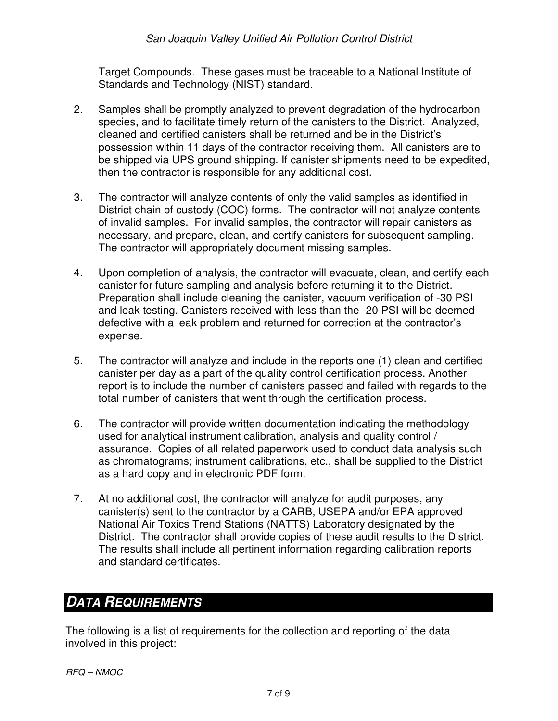Target Compounds. These gases must be traceable to a National Institute of Standards and Technology (NIST) standard.

- 2. Samples shall be promptly analyzed to prevent degradation of the hydrocarbon species, and to facilitate timely return of the canisters to the District. Analyzed, cleaned and certified canisters shall be returned and be in the District's possession within 11 days of the contractor receiving them. All canisters are to be shipped via UPS ground shipping. If canister shipments need to be expedited, then the contractor is responsible for any additional cost.
- 3. The contractor will analyze contents of only the valid samples as identified in District chain of custody (COC) forms. The contractor will not analyze contents of invalid samples. For invalid samples, the contractor will repair canisters as necessary, and prepare, clean, and certify canisters for subsequent sampling. The contractor will appropriately document missing samples.
- 4. Upon completion of analysis, the contractor will evacuate, clean, and certify each canister for future sampling and analysis before returning it to the District. Preparation shall include cleaning the canister, vacuum verification of -30 PSI and leak testing. Canisters received with less than the -20 PSI will be deemed defective with a leak problem and returned for correction at the contractor's expense.
- 5. The contractor will analyze and include in the reports one (1) clean and certified canister per day as a part of the quality control certification process. Another report is to include the number of canisters passed and failed with regards to the total number of canisters that went through the certification process.
- 6. The contractor will provide written documentation indicating the methodology used for analytical instrument calibration, analysis and quality control / assurance. Copies of all related paperwork used to conduct data analysis such as chromatograms; instrument calibrations, etc., shall be supplied to the District as a hard copy and in electronic PDF form.
- 7. At no additional cost, the contractor will analyze for audit purposes, any canister(s) sent to the contractor by a CARB, USEPA and/or EPA approved National Air Toxics Trend Stations (NATTS) Laboratory designated by the District. The contractor shall provide copies of these audit results to the District. The results shall include all pertinent information regarding calibration reports and standard certificates.

# **DATA REQUIREMENTS**

The following is a list of requirements for the collection and reporting of the data involved in this project: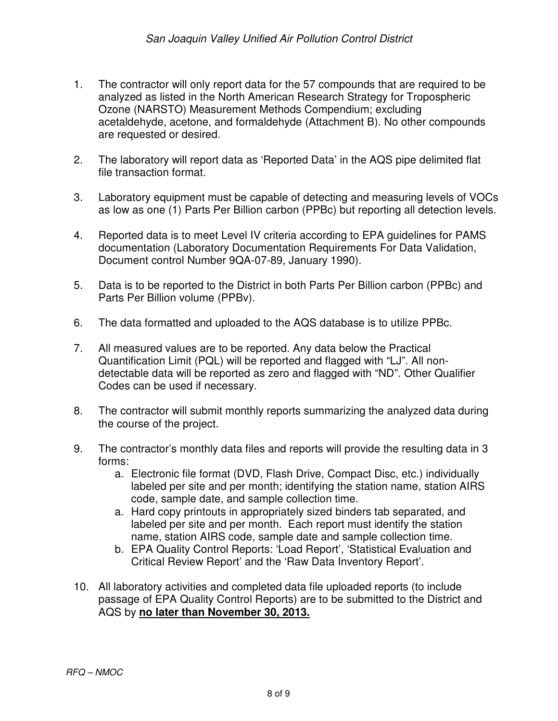- 1. The contractor will only report data for the 57 compounds that are required to be analyzed as listed in the North American Research Strategy for Tropospheric Ozone (NARSTO) Measurement Methods Compendium; excluding acetaldehyde, acetone, and formaldehyde (Attachment B). No other compounds are requested or desired.
- 2. The laboratory will report data as 'Reported Data' in the AQS pipe delimited flat file transaction format.
- 3. Laboratory equipment must be capable of detecting and measuring levels of VOCs as low as one (1) Parts Per Billion carbon (PPBc) but reporting all detection levels.
- 4. Reported data is to meet Level IV criteria according to EPA guidelines for PAMS documentation (Laboratory Documentation Requirements For Data Validation, Document control Number 9QA-07-89, January 1990).
- 5. Data is to be reported to the District in both Parts Per Billion carbon (PPBc) and Parts Per Billion volume (PPBv).
- 6. The data formatted and uploaded to the AQS database is to utilize PPBc.
- 7. All measured values are to be reported. Any data below the Practical Quantification Limit (PQL) will be reported and flagged with "LJ". All nondetectable data will be reported as zero and flagged with "ND". Other Qualifier Codes can be used if necessary.
- 8. The contractor will submit monthly reports summarizing the analyzed data during the course of the project.
- 9. The contractor's monthly data files and reports will provide the resulting data in 3 forms:
	- a. Electronic file format (DVD, Flash Drive, Compact Disc, etc.) individually labeled per site and per month; identifying the station name, station AIRS code, sample date, and sample collection time.
	- a. Hard copy printouts in appropriately sized binders tab separated, and labeled per site and per month. Each report must identify the station name, station AIRS code, sample date and sample collection time.
	- b. EPA Quality Control Reports: 'Load Report', 'Statistical Evaluation and Critical Review Report' and the 'Raw Data Inventory Report'.
- 10. All laboratory activities and completed data file uploaded reports (to include passage of EPA Quality Control Reports) are to be submitted to the District and AQS by **no later than November 30, 2013.**